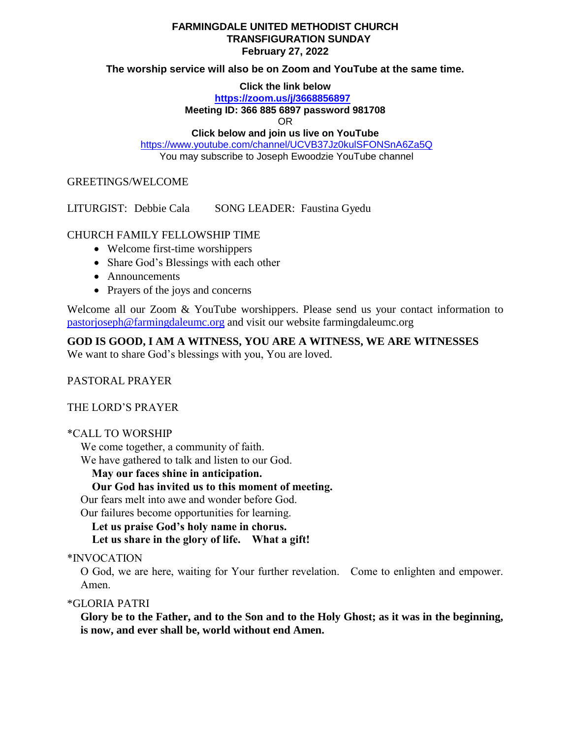## **FARMINGDALE UNITED METHODIST CHURCH TRANSFIGURATION SUNDAY February 27, 2022**

## **The worship service will also be on Zoom and YouTube at the same time.**

**Click the link below**

**<https://zoom.us/j/3668856897>**

**Meeting ID: 366 885 6897 password 981708**

OR

**Click below and join us live on YouTube** 

<https://www.youtube.com/channel/UCVB37Jz0kulSFONSnA6Za5Q> You may subscribe to Joseph Ewoodzie YouTube channel

GREETINGS/WELCOME

LITURGIST: Debbie Cala SONG LEADER: Faustina Gyedu

## CHURCH FAMILY FELLOWSHIP TIME

- Welcome first-time worshippers
- Share God's Blessings with each other
- Announcements
- Prayers of the joys and concerns

Welcome all our Zoom & YouTube worshippers. Please send us your contact information to [pastorjoseph@farmingdaleumc.org](mailto:pastorjoseph@farmingdaleumc.org) and visit our website farmingdaleumc.org

**GOD IS GOOD, I AM A WITNESS, YOU ARE A WITNESS, WE ARE WITNESSES**

We want to share God's blessings with you, You are loved.

PASTORAL PRAYER

THE LORD'S PRAYER

\*CALL TO WORSHIP

We come together, a community of faith.

We have gathered to talk and listen to our God.

**May our faces shine in anticipation.**

 **Our God has invited us to this moment of meeting.**

Our fears melt into awe and wonder before God.

Our failures become opportunities for learning.

**Let us praise God's holy name in chorus.**

 **Let us share in the glory of life. What a gift!**

\*INVOCATION

O God, we are here, waiting for Your further revelation. Come to enlighten and empower. Amen.

\*GLORIA PATRI

**Glory be to the Father, and to the Son and to the Holy Ghost; as it was in the beginning, is now, and ever shall be, world without end Amen.**